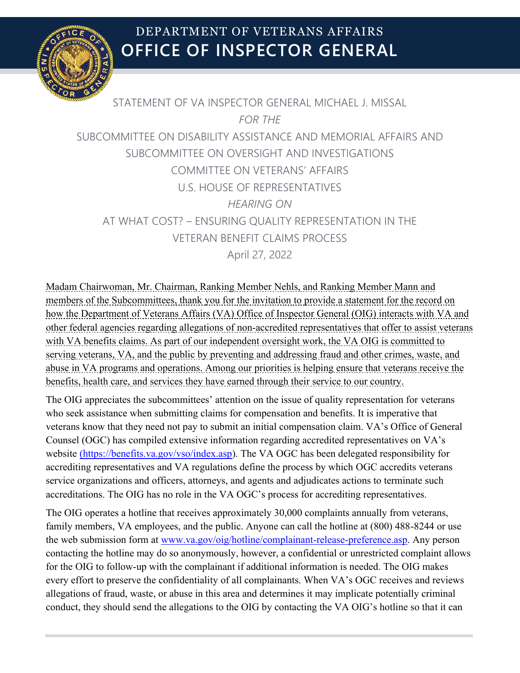

STATEMENT OF VA INSPECTOR GENERAL MICHAEL J. MISSAL *FOR THE* SUBCOMMITTEE ON DISABILITY ASSISTANCE AND MEMORIAL AFFAIRS AND SUBCOMMITTEE ON OVERSIGHT AND INVESTIGATIONS COMMITTEE ON VETERANS' AFFAIRS U.S. HOUSE OF REPRESENTATIVES *HEARING ON* AT WHAT COST? – ENSURING QUALITY REPRESENTATION IN THE VETERAN BENEFIT CLAIMS PROCESS April 27, 2022

Madam Chairwoman, Mr. Chairman, Ranking Member Nehls, and Ranking Member Mann and members of the Subcommittees, thank you for the invitation to provide a statement for the record on how the Department of Veterans Affairs (VA) Office of Inspector General (OIG) interacts with VA and other federal agencies regarding allegations of non-accredited representatives that offer to assist veterans with VA benefits claims. As part of our independent oversight work, the VA OIG is committed to serving veterans, VA, and the public by preventing and addressing fraud and other crimes, waste, and abuse in VA programs and operations. Among our priorities is helping ensure that veterans receive the benefits, health care, and services they have earned through their service to our country.

The OIG appreciates the subcommittees' attention on the issue of quality representation for veterans who seek assistance when submitting claims for compensation and benefits. It is imperative that veterans know that they need not pay to submit an initial compensation claim. VA's Office of General Counsel (OGC) has compiled extensive information regarding accredited representatives on VA's website [\(https://benefits.va.gov/vso/index.asp](https://benefits.va.gov/vso/index.asp)). The VA OGC has been delegated responsibility for accrediting representatives and VA regulations define the process by which OGC accredits veterans service organizations and officers, attorneys, and agents and adjudicates actions to terminate such accreditations. The OIG has no role in the VA OGC's process for accrediting representatives.

The OIG operates a hotline that receives approximately 30,000 complaints annually from veterans, family members, VA employees, and the public. Anyone can call the hotline at (800) 488-8244 or use the web submission form at [www.va.gov/oig/hotline/complainant-release-preference.asp.](https://gcc02.safelinks.protection.outlook.com/?url=https%3A%2F%2Fwww.va.gov%2Foig%2Fhotline%2Fcomplainant-release-preference.asp&data=05%7C01%7C%7C454c06f0ee614f833c3c08da23ce2d10%7Ce95f1b23abaf45ee821db7ab251ab3bf%7C0%7C0%7C637861665671445499%7CUnknown%7CTWFpbGZsb3d8eyJWIjoiMC4wLjAwMDAiLCJQIjoiV2luMzIiLCJBTiI6Ik1haWwiLCJXVCI6Mn0%3D%7C3000%7C%7C%7C&sdata=%2FUwZIR%2Bu8hZHB3W8DFcA5GBgZzn9bFgSXa41ARZDAVM%3D&reserved=0) Any person contacting the hotline may do so anonymously, however, a confidential or unrestricted complaint allows for the OIG to follow-up with the complainant if additional information is needed. The OIG makes every effort to preserve the confidentiality of all complainants. When VA's OGC receives and reviews allegations of fraud, waste, or abuse in this area and determines it may implicate potentially criminal conduct, they should send the allegations to the OIG by contacting the VA OIG's hotline so that it can